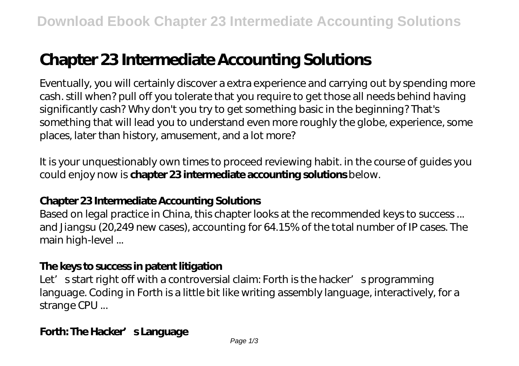# **Chapter 23 Intermediate Accounting Solutions**

Eventually, you will certainly discover a extra experience and carrying out by spending more cash. still when? pull off you tolerate that you require to get those all needs behind having significantly cash? Why don't you try to get something basic in the beginning? That's something that will lead you to understand even more roughly the globe, experience, some places, later than history, amusement, and a lot more?

It is your unquestionably own times to proceed reviewing habit. in the course of guides you could enjoy now is **chapter 23 intermediate accounting solutions** below.

# **Chapter 23 Intermediate Accounting Solutions**

Based on legal practice in China, this chapter looks at the recommended keys to success... and Jiangsu (20,249 new cases), accounting for 64.15% of the total number of IP cases. The main high-level ...

# **The keys to success in patent litigation**

Let' s start right off with a controversial claim: Forth is the hacker' sprogramming language. Coding in Forth is a little bit like writing assembly language, interactively, for a strange CPU ...

# Forth: The Hacker' s Language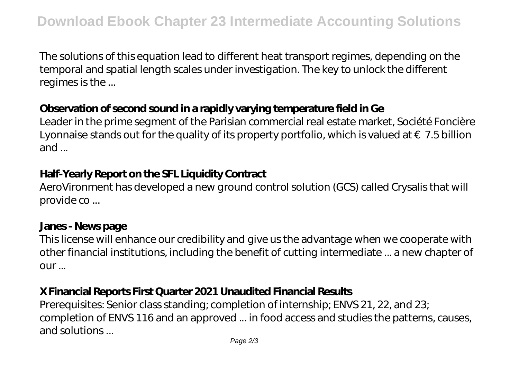The solutions of this equation lead to different heat transport regimes, depending on the temporal and spatial length scales under investigation. The key to unlock the different regimes is the ...

# **Observation of second sound in a rapidly varying temperature field in Ge**

Leader in the prime segment of the Parisian commercial real estate market, Société Foncière Lyonnaise stands out for the quality of its property portfolio, which is valued at  $\epsilon$  7.5 billion and ...

# **Half-Yearly Report on the SFL Liquidity Contract**

AeroVironment has developed a new ground control solution (GCS) called Crysalis that will provide co ...

#### **Janes - News page**

This license will enhance our credibility and give us the advantage when we cooperate with other financial institutions, including the benefit of cutting intermediate ... a new chapter of our ...

# **X Financial Reports First Quarter 2021 Unaudited Financial Results**

Prerequisites: Senior class standing; completion of internship; ENVS 21, 22, and 23; completion of ENVS 116 and an approved ... in food access and studies the patterns, causes, and solutions ...